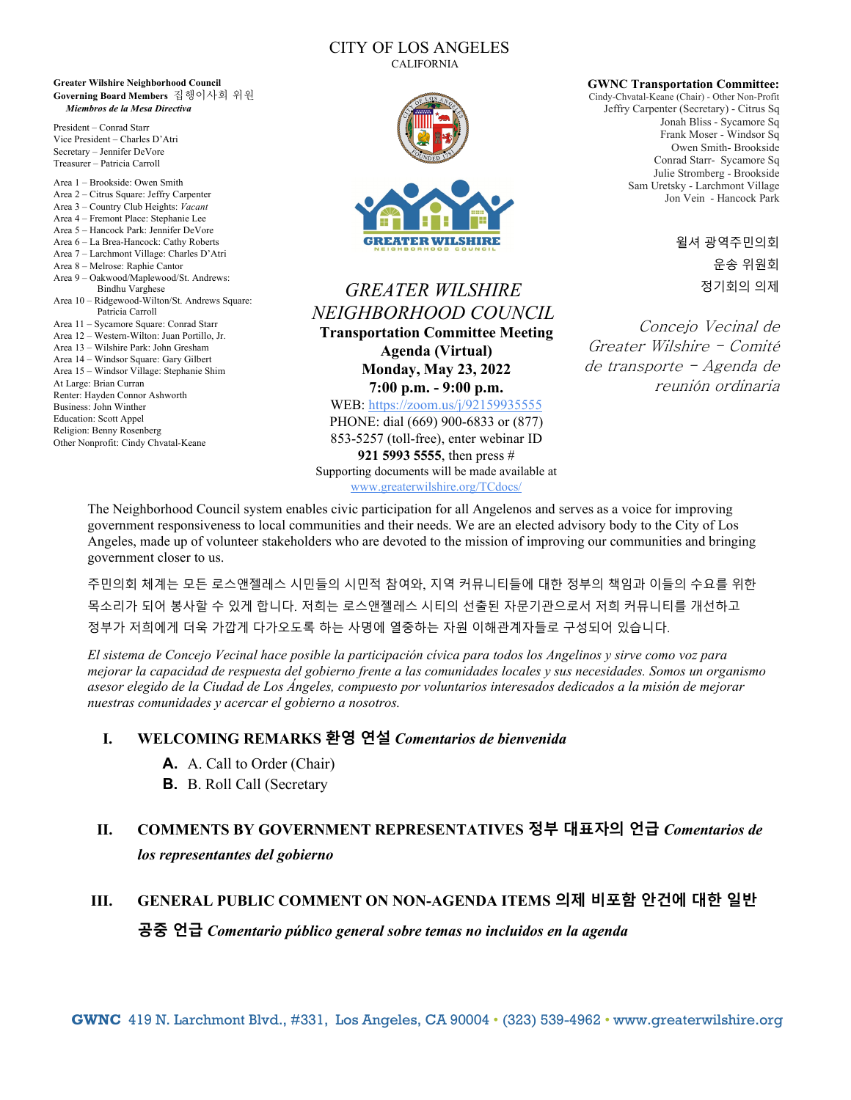#### CITY OF LOS ANGELES CALIFORNIA

**Greater Wilshire Neighborhood Council Governing Board Members** 집행이사회 위원 *Miembros de la Mesa Directiva*

President – Conrad Starr Vice President – Charles D'Atri Secretary – Jennifer DeVore Treasurer – Patricia Carroll

Area 1 – Brookside: Owen Smith Area 2 – Citrus Square: Jeffry Carpenter Area 3 – Country Club Heights: *Vacant*  Area 4 – Fremont Place: Stephanie Lee Area 5 – Hancock Park: Jennifer DeVore Area 6 – La Brea-Hancock: Cathy Roberts Area 7 – Larchmont Village: Charles D'Atri Area 8 – Melrose: Raphie Cantor Area 9 – Oakwood/Maplewood/St. Andrews: Bindhu Varghese Area 10 – Ridgewood-Wilton/St. Andrews Square: Patricia Carroll Area 11 – Sycamore Square: Conrad Starr Area 12 – Western-Wilton: Juan Portillo, Jr. Area 13 – Wilshire Park: John Gresham Area 14 – Windsor Square: Gary Gilbert Area 15 – Windsor Village: Stephanie Shim At Large: Brian Curran Renter: Hayden Connor Ashworth Business: John Winther Education: Scott Appel Religion: Benny Rosenberg Other Nonprofit: Cindy Chvatal-Keane





REATER WILSHIRE

**Transportation Committee Meeting Agenda (Virtual) Monday, May 23, 2022 7:00 p.m. - 9:00 p.m.** 

WEB: https://zoom.us/j/92159935555 PHONE: dial (669) 900-6833 or (877) 853-5257 (toll-free), enter webinar ID **921 5993 5555**, then press # Supporting documents will be made available at www.greaterwilshire.org/TCdocs/

#### **GWNC Transportation Committee:**

Cindy-Chvatal-Keane (Chair) - Other Non-Profit Jeffry Carpenter (Secretary) - Citrus Sq Jonah Bliss - Sycamore Sq Frank Moser - Windsor Sq Owen Smith- Brookside Conrad Starr- Sycamore Sq Julie Stromberg - Brookside Sam Uretsky - Larchmont Village Jon Vein - Hancock Park

> 윌셔 광역주민의회 운송 위원회 정기회의 의제

Concejo Vecinal de Greater Wilshire - Comité de transporte - Agenda de reunión ordinaria

The Neighborhood Council system enables civic participation for all Angelenos and serves as a voice for improving government responsiveness to local communities and their needs. We are an elected advisory body to the City of Los Angeles, made up of volunteer stakeholders who are devoted to the mission of improving our communities and bringing government closer to us.

주민의회 체계는 모든 로스앤젤레스 시민들의 시민적 참여와, 지역 커뮤니티들에 대한 정부의 책임과 이들의 수요를 위한 목소리가 되어 봉사할 수 있게 합니다. 저희는 로스앤젤레스 시티의 선출된 자문기관으로서 저희 커뮤니티를 개선하고 정부가 저희에게 더욱 가깝게 다가오도록 하는 사명에 열중하는 자원 이해관계자들로 구성되어 있습니다.

*El sistema de Concejo Vecinal hace posible la participación cívica para todos los Angelinos y sirve como voz para mejorar la capacidad de respuesta del gobierno frente a las comunidades locales y sus necesidades. Somos un organismo asesor elegido de la Ciudad de Los Ángeles, compuesto por voluntarios interesados dedicados a la misión de mejorar nuestras comunidades y acercar el gobierno a nosotros.*

#### **I. WELCOMING REMARKS 환영 연설** *Comentarios de bienvenida*

- **A.** A. Call to Order (Chair)
- **B.** B. Roll Call (Secretary

## **II. COMMENTS BY GOVERNMENT REPRESENTATIVES 정부 대표자의 언급** *Comentarios de los representantes del gobierno*

## **III. GENERAL PUBLIC COMMENT ON NON-AGENDA ITEMS 의제 비포함 안건에 대한 일반 공중 언급** *Comentario público general sobre temas no incluidos en la agenda*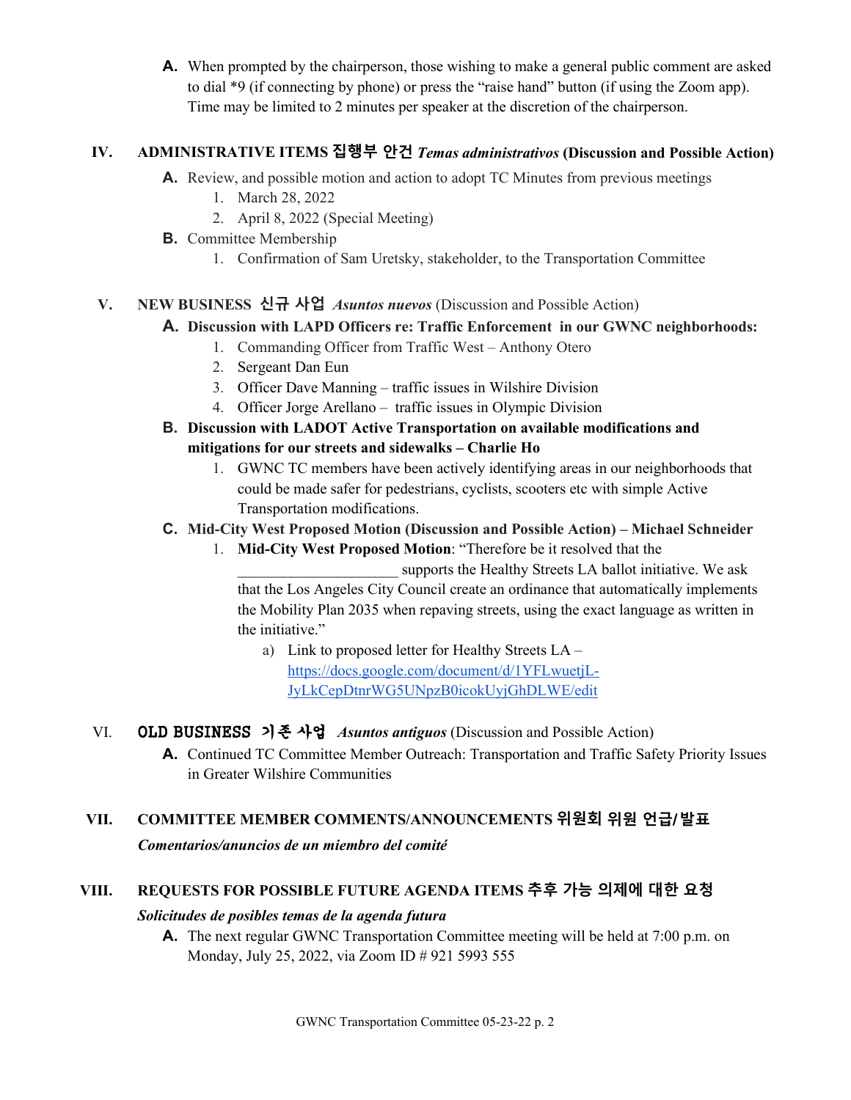**A.** When prompted by the chairperson, those wishing to make a general public comment are asked to dial \*9 (if connecting by phone) or press the "raise hand" button (if using the Zoom app). Time may be limited to 2 minutes per speaker at the discretion of the chairperson.

#### **IV. ADMINISTRATIVE ITEMS 집행부 안건** *Temas administrativos* **(Discussion and Possible Action)**

- **A.** Review, and possible motion and action to adopt TC Minutes from previous meetings
	- 1. March 28, 2022
	- 2. April 8, 2022 (Special Meeting)
- **B.** Committee Membership
	- 1. Confirmation of Sam Uretsky, stakeholder, to the Transportation Committee

#### **V. NEW BUSINESS 신규 사업** *Asuntos nuevos* (Discussion and Possible Action)

#### **A. Discussion with LAPD Officers re: Traffic Enforcement in our GWNC neighborhoods:**

- 1. Commanding Officer from Traffic West Anthony Otero
- 2. Sergeant Dan Eun
- 3. Officer Dave Manning traffic issues in Wilshire Division
- 4. Officer Jorge Arellano traffic issues in Olympic Division
- **B. Discussion with LADOT Active Transportation on available modifications and mitigations for our streets and sidewalks – Charlie Ho**
	- 1. GWNC TC members have been actively identifying areas in our neighborhoods that could be made safer for pedestrians, cyclists, scooters etc with simple Active Transportation modifications.

#### **C. Mid-City West Proposed Motion (Discussion and Possible Action) – Michael Schneider**

1. **Mid-City West Proposed Motion**: "Therefore be it resolved that the

supports the Healthy Streets LA ballot initiative. We ask that the Los Angeles City Council create an ordinance that automatically implements the Mobility Plan 2035 when repaving streets, using the exact language as written in the initiative."

a) Link to proposed letter for Healthy Streets LA – [https://docs.google.com/document/d/1YFLwuetjL-](https://docs.google.com/document/d/1YFLwuetjL-JyLkCepDtnrWG5UNpzB0icokUyjGhDLWE/edit)[JyLkCepDtnrWG5UNpzB0icokUyjGhDLWE/edit](https://docs.google.com/document/d/1YFLwuetjL-JyLkCepDtnrWG5UNpzB0icokUyjGhDLWE/edit)

#### VI. OLD BUSINESS 기존 사업 *Asuntos antiguos* (Discussion and Possible Action)

**A.** Continued TC Committee Member Outreach: Transportation and Traffic Safety Priority Issues in Greater Wilshire Communities

# **VII. COMMITTEE MEMBER COMMENTS/ANNOUNCEMENTS 위원회 위원 언급**/**발표**

*Comentarios/anuncios de un miembro del comité*

### **VIII. REQUESTS FOR POSSIBLE FUTURE AGENDA ITEMS 추후 가능 의제에 대한 요청**

#### *Solicitudes de posibles temas de la agenda futura*

**A.** The next regular GWNC Transportation Committee meeting will be held at 7:00 p.m. on Monday, July 25, 2022, via Zoom ID # 921 5993 555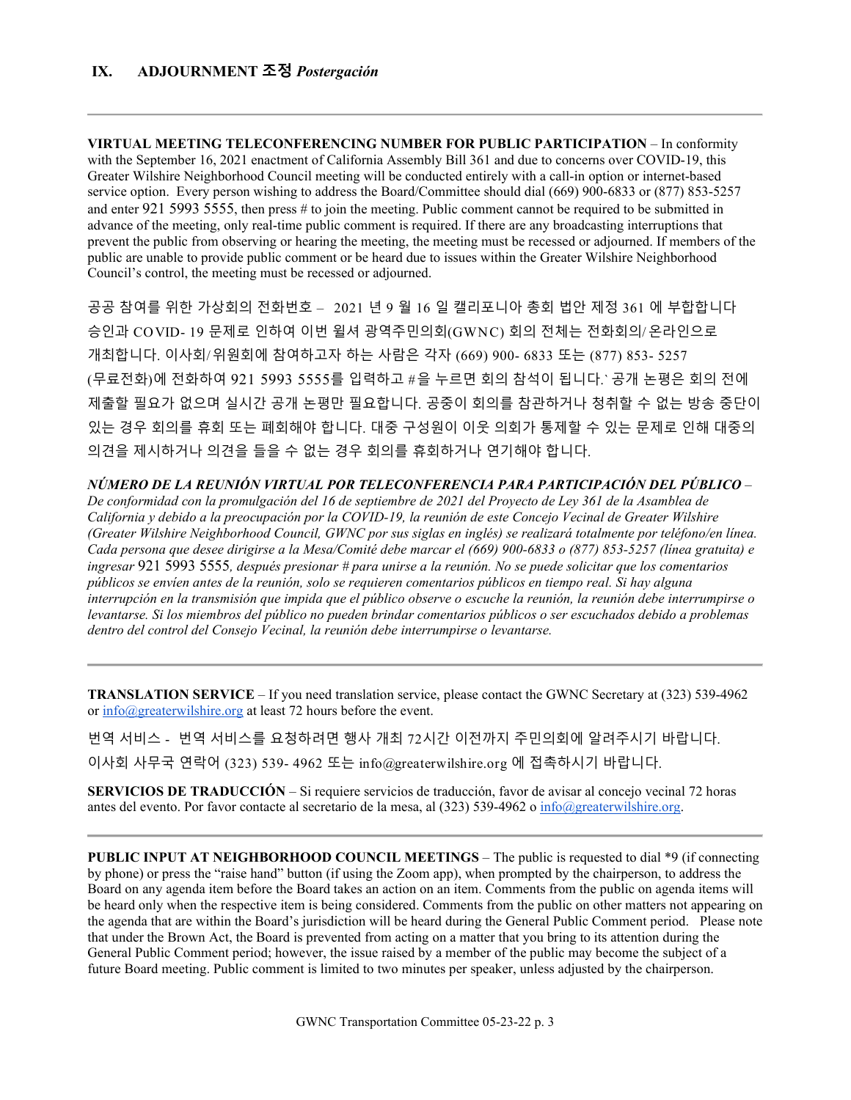**VIRTUAL MEETING TELECONFERENCING NUMBER FOR PUBLIC PARTICIPATION** – In conformity with the September 16, 2021 enactment of California Assembly Bill 361 and due to concerns over COVID-19, this Greater Wilshire Neighborhood Council meeting will be conducted entirely with a call-in option or internet-based service option. Every person wishing to address the Board/Committee should dial (669) 900-6833 or (877) 853-5257 and enter 921 5993 5555, then press # to join the meeting. Public comment cannot be required to be submitted in advance of the meeting, only real-time public comment is required. If there are any broadcasting interruptions that prevent the public from observing or hearing the meeting, the meeting must be recessed or adjourned. If members of the public are unable to provide public comment or be heard due to issues within the Greater Wilshire Neighborhood Council's control, the meeting must be recessed or adjourned.

공공 참여를 위한 가상회의 전화번호 – 2021 년 9 월 16 일 캘리포니아 총회 법안 제정 361 에 부합합니다 승인과 COVID- 19 문제로 인하여 이번 윌셔 광역주민의회(GWNC) 회의 전체는 전화회의/ 온라인으로 개최합니다. 이사회/위원회에 참여하고자 하는 사람은 각자 (669) 900- 6833 또는 (877) 853- 5257 (무료전화)에 전화하여 921 5993 5555를 입력하고 #을 누르면 회의 참석이 됩니다.` 공개 논평은 회의 전에 제출할 필요가 없으며 실시간 공개 논평만 필요합니다. 공중이 회의를 참관하거나 청취할 수 없는 방송 중단이 있는 경우 회의를 휴회 또는 폐회해야 합니다. 대중 구성원이 이웃 의회가 통제할 수 있는 문제로 인해 대중의 의견을 제시하거나 의견을 들을 수 없는 경우 회의를 휴회하거나 연기해야 합니다.

*NÚMERO DE LA REUNIÓN VIRTUAL POR TELECONFERENCIA PARA PARTICIPACIÓN DEL PÚBLICO* – *De conformidad con la promulgación del 16 de septiembre de 2021 del Proyecto de Ley 361 de la Asamblea de California y debido a la preocupación por la COVID-19, la reunión de este Concejo Vecinal de Greater Wilshire (Greater Wilshire Neighborhood Council, GWNC por sus siglas en inglés) se realizará totalmente por teléfono/en línea. Cada persona que desee dirigirse a la Mesa/Comité debe marcar el (669) 900-6833 o (877) 853-5257 (línea gratuita) e ingresar* 921 5993 5555*, después presionar # para unirse a la reunión. No se puede solicitar que los comentarios públicos se envíen antes de la reunión, solo se requieren comentarios públicos en tiempo real. Si hay alguna interrupción en la transmisión que impida que el público observe o escuche la reunión, la reunión debe interrumpirse o levantarse. Si los miembros del público no pueden brindar comentarios públicos o ser escuchados debido a problemas dentro del control del Consejo Vecinal, la reunión debe interrumpirse o levantarse.*

**TRANSLATION SERVICE** – If you need translation service, please contact the GWNC Secretary at (323) 539-4962 or [info@greaterwilshire.org](mailto:info@greaterwilshire.org) at least 72 hours before the event.

번역 서비스 - 번역 서비스를 요청하려면 행사 개최 72시간 이전까지 주민의회에 알려주시기 바랍니다. 이사회 사무국 연락어 (323) 539- 4962 또는 [info@greaterwilshire.org](mailto:info@greaterwilshire.org) 에 접촉하시기 바랍니다.

**SERVICIOS DE TRADUCCIÓN** – [Si requiere servicios de traducción, favor de avisar al concejo vecinal 72 horas](http://www.greaterwilshire.org/)  [antes del evento. Por favor contacte al secretario de la mesa, al \(323\) 539-4962 o](http://www.greaterwilshire.org/) [info@greaterwilshire.org](mailto:info@greaterwilshire.org)[.](http://www.greaterwilshire.org/)

**PUBLIC INPUT AT NEIGHBORHOOD COUNCIL MEETINGS – The public is requested to dial \*9 (if connecting** by phone) or press the "raise hand" button (if using the Zoom app), when prompted by the chairperson, to address the Board on any agenda item before the Board takes an action on an item. Comments from the public on agenda items will be heard only when the respective item is being considered. Comments from the public on other matters not appearing on the agenda that are within the Board's jurisdiction will be heard during the General Public Comment period. Please note that under the Brown Act, the Board is prevented from acting on a matter that you bring to its attention during the General Public Comment period; however, the issue raised by a member of the public may become the subject of a future Board meeting. Public comment is limited to two minutes per speaker, unless adjusted by the chairperson.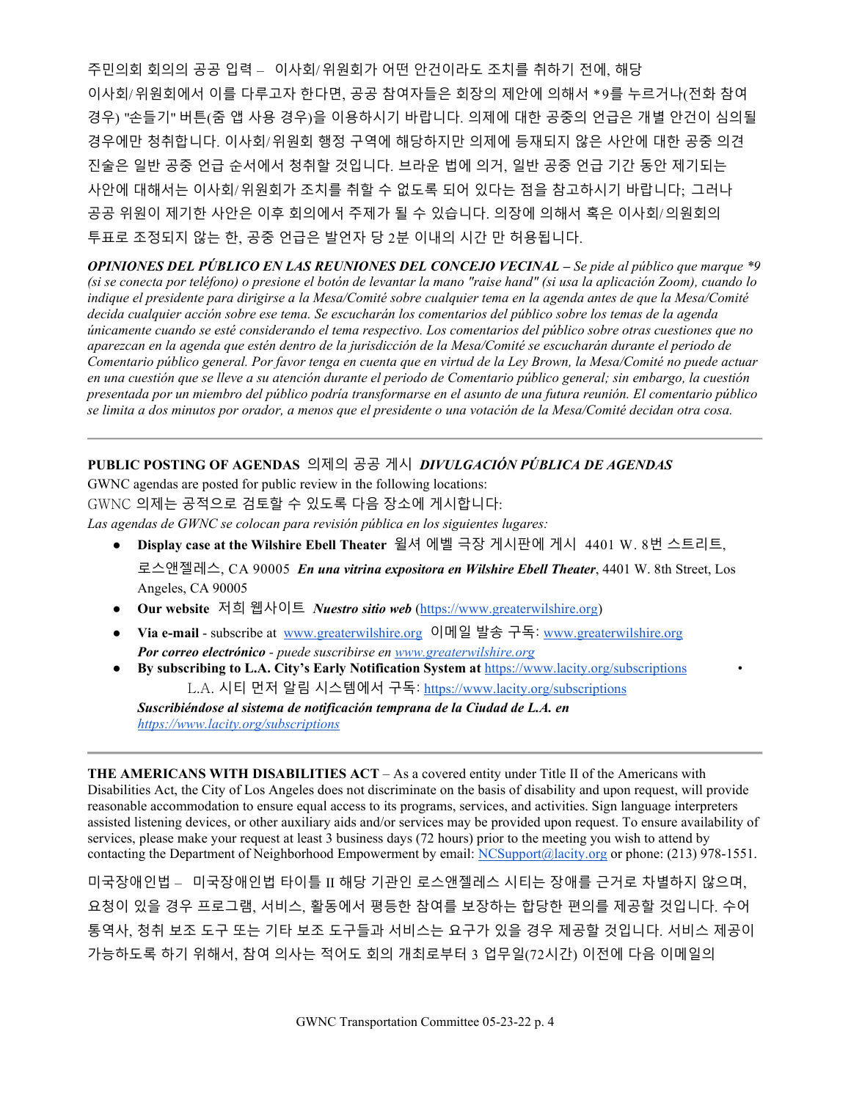주민의회 회의의 공공 입력 – 이사회/ 위원회가 어떤 안건이라도 조치를 취하기 전에, 해당 이사회/위원회에서 이를 다루고자 한다면, 공공 참여자들은 회장의 제안에 의해서 \* 9를 누르거나(전화 참여 경우) "손들기" 버튼(줌 앱 사용 경우)을 이용하시기 바랍니다. 의제에 대한 공중의 언급은 개별 안건이 심의될 경우에만 청취합니다. 이사회/위원회 행정 구역에 해당하지만 의제에 등재되지 않은 사안에 대한 공중 의견 진술은 일반 공중 언급 순서에서 청취할 것입니다. 브라운 법에 의거, 일반 공중 언급 기간 동안 제기되는 사안에 대해서는 이사회/위원회가 조치를 취할 수 없도록 되어 있다는 점을 참고하시기 바랍니다; 그러나 공공 위원이 제기한 사안은 이후 회의에서 주제가 될 수 있습니다. 의장에 의해서 혹은 이사회/의원회의 투표로 조정되지 않는 한, 공중 언급은 발언자 당 2분 이내의 시간 만 허용됩니다.

*OPINIONES DEL PÚBLICO EN LAS REUNIONES DEL CONCEJO VECINAL – Se pide al público que marque \*9 (si se conecta por teléfono) o presione el botón de levantar la mano "raise hand" (si usa la aplicación Zoom), cuando lo indique el presidente para dirigirse a la Mesa/Comité sobre cualquier tema en la agenda antes de que la Mesa/Comité decida cualquier acción sobre ese tema. Se escucharán los comentarios del público sobre los temas de la agenda únicamente cuando se esté considerando el tema respectivo. Los comentarios del público sobre otras cuestiones que no aparezcan en la agenda que estén dentro de la jurisdicción de la Mesa/Comité se escucharán durante el periodo de Comentario público general. Por favor tenga en cuenta que en virtud de la Ley Brown, la Mesa/Comité no puede actuar en una cuestión que se lleve a su atención durante el periodo de Comentario público general; sin embargo, la cuestión presentada por un miembro del público podría transformarse en el asunto de una futura reunión. El comentario público se limita a dos minutos por orador, a menos que el presidente o una votación de la Mesa/Comité decidan otra cosa.*

**PUBLIC POSTING OF AGENDAS** 의제의 공공 게시*DIVULGACIÓN PÚBLICA DE AGENDAS* 

GWNC agendas are posted for public review in the following locations:

GWNC 의제는 공적으로 검토할 수 있도록 다음 장소에 게시합니다:

*Las agendas de GWNC se colocan para revisión pública en los siguientes lugares:*

- **Display case at the Wilshire Ebell Theater** 윌셔 에벨 극장 게시판에 게시 4401 W. 8번 스트리트,
	- 로스앤젤레스, CA 90005 *En una vitrina expositora en Wilshire Ebell Theater*, 4401 W. 8th Street, Los Angeles, CA 90005
- **Our website** 저희 웹사이트 *Nuestro sitio web* [\(https://www.greaterwilshire.org\)](https://www.greaterwilshire.org/)
- **Via e-mail** subscribe at [www.greaterwilshire.org](http://www.greaterwilshire.org/) 이메일 발송 구독: [www.greaterwilshire.org](http://www.greaterwilshire.org/)  *Por correo electrónico - puede suscribirse en [www.greaterwilshire.org](http://www.greaterwilshire.org/)*
- **By subscribing to L.A. City's Early Notification System at** <https://www.lacity.org/subscriptions> L.A. 시티 먼저 알림 시스템에서 구독: https://www.lacity.org/subscriptions

*Suscribiéndose al sistema de notificación temprana de la Ciudad de L.A. en <https://www.lacity.org/subscriptions>*

**THE AMERICANS WITH DISABILITIES ACT** – As a covered entity under Title II of the Americans with Disabilities Act, the City of Los Angeles does not discriminate on the basis of disability and upon request, will provide reasonable accommodation to ensure equal access to its programs, services, and activities. Sign language interpreters assisted listening devices, or other auxiliary aids and/or services may be provided upon request. To ensure availability of services, please make your request at least 3 business days (72 hours) prior to the meeting you wish to attend by contacting the Department of Neighborhood Empowerment by email: [NCSupport@lacity.org](mailto:NCSupport@lacity.org) or phone: (213) 978-1551.

미국장애인법 – 미국장애인법 타이틀 II 해당 기관인 로스앤젤레스 시티는 장애를 근거로 차별하지 않으며, 요청이 있을 경우 프로그램, 서비스, 활동에서 평등한 참여를 보장하는 합당한 편의를 제공할 것입니다. 수어 통역사, 청취 보조 도구 또는 기타 보조 도구들과 서비스는 요구가 있을 경우 제공할 것입니다. 서비스 제공이 가능하도록 하기 위해서, 참여 의사는 적어도 회의 개최로부터 3 업무일(72시간) 이전에 다음 이메일의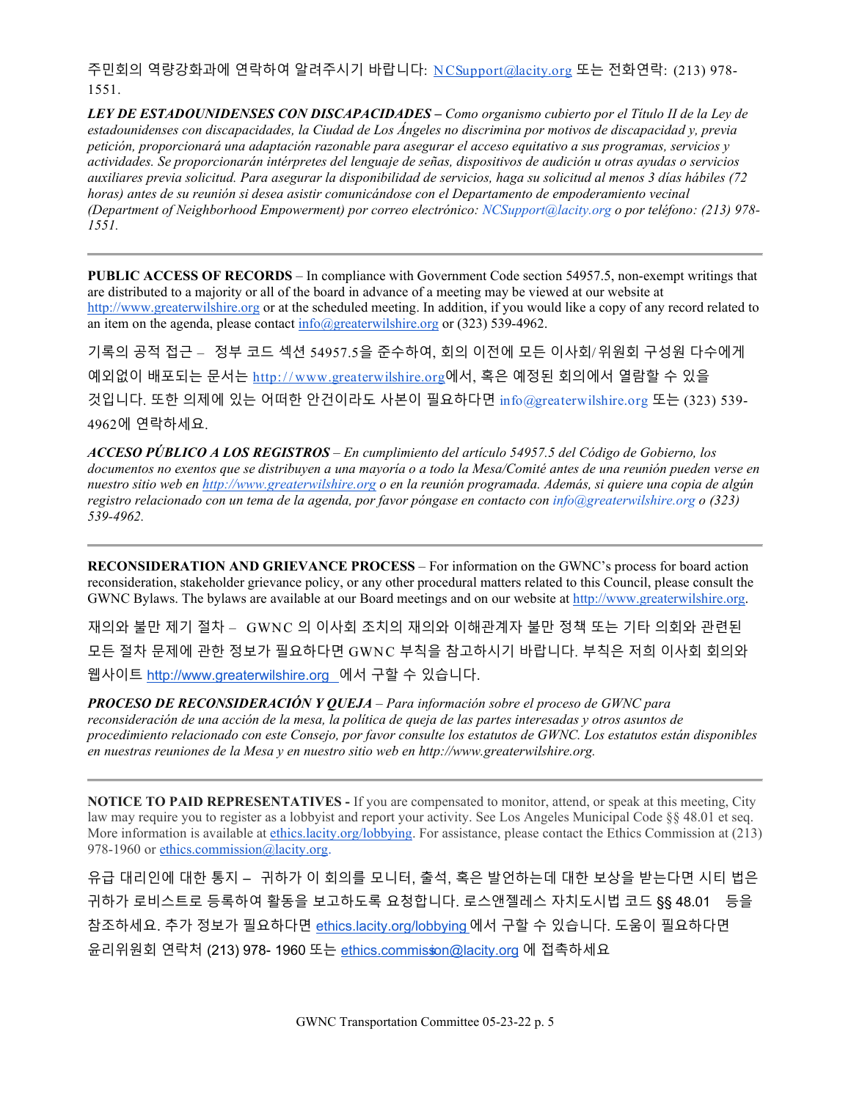주민회의 역량강화과에 연락하여 알려주시기 바랍니다: [N CSupport@lacity.org](mailto:NCSupport@lacity.org) 또는 전화연락: (213) 978- 1551.

*LEY DE ESTADOUNIDENSES CON DISCAPACIDADES – Como organismo cubierto por el Título II de la Ley de estadounidenses con discapacidades, la Ciudad de Los Ángeles no discrimina por motivos de discapacidad y, previa petición, proporcionará una adaptación razonable para asegurar el acceso equitativo a sus programas, servicios y actividades. Se proporcionarán intérpretes del lenguaje de señas, dispositivos de audición u otras ayudas o servicios auxiliares previa solicitud. Para asegurar la disponibilidad de servicios, haga su solicitud al menos 3 días hábiles (72 horas) antes de su reunión si desea asistir comunicándose con el Departamento de empoderamiento vecinal (Department of Neighborhood Empowerment) por correo electrónico: NCSupport@lacity.org o por teléfono: (213) 978- 1551.* 

**PUBLIC ACCESS OF RECORDS** – In compliance with Government Code section 54957.5, non-exempt writings that are distributed to a majority or all of the board in advance of a meeting may be viewed at our website at [http://www.greaterwilshire.org](http://www.greaterwilshire.org/) or at the scheduled meeting. In addition, if you would like a copy of any record related to an item on the agenda, please contact  $\frac{info(Qgreatest willshire.org)$  or (323) 539-4962.

기록의 공적 접근 – 정부 코드 섹션 54957.5을 준수하여, 회의 이전에 모든 이사회/위원회 구성원 다수에게 예외없이 배포되는 문서는 http://www.greaterwilshire.org에서, 혹은 예정된 회의에서 열람할 수 있을 것입니다. 또한 의제에 있는 어떠한 안건이라도 사본이 필요하다면 info@greaterwilshire.org 또는 (323) 539- 4962에 연락하세요.

*ACCESO PÚBLICO A LOS REGISTROS – En cumplimiento del artículo 54957.5 del Código de Gobierno, los documentos no exentos que se distribuyen a una mayoría o a todo la Mesa/Comité antes de una reunión pueden verse en nuestro sitio web en [http://www.greaterwilshire.org](http://www.greaterwilshire.org/) o en la reunión programada. Además, si quiere una copia de algún registro relacionado con un tema de la agenda, por favor póngase en contacto con info@greaterwilshire.org o (323) 539-4962.* 

**RECONSIDERATION AND GRIEVANCE PROCESS** – For information on the GWNC's process for board action reconsideration, stakeholder grievance policy, or any other procedural matters related to this Council, please consult the GWNC Bylaws. The bylaws are available at our Board meetings and on our website at [http://www.greaterwilshire.org.](http://www.greaterwilshire.org/)

재의와 불만 제기 절차 – GWNC 의 이사회 조치의 재의와 이해관계자 불만 정책 또는 기타 의회와 관련된 모든 절차 문제에 관한 정보가 필요하다면 GWNC 부칙을 참고하시기 바랍니다. 부칙은 저희 이사회 회의와 웹사이트 [http://www.greaterwilshire.org](http://www.greaterwilshire.org/) 에서 구할 수 있습니다.

*PROCESO DE RECONSIDERACIÓN Y QUEJA – Para información sobre el proceso de GWNC para reconsideración de una acción de la mesa, la política de queja de las partes interesadas y otros asuntos de procedimiento relacionado con este Consejo, por favor consulte los estatutos de GWNC. Los estatutos están disponibles en nuestras reuniones de la Mesa y en nuestro sitio web en http://www.greaterwilshire.org.* 

**NOTICE TO PAID REPRESENTATIVES - If you are compensated to monitor, attend, or speak at this meeting, City** law may require you to register as a lobbyist and report your activity. See Los Angeles Municipal Code §§ 48.01 et seq. More information is available at [ethics.lacity.org/lobbying.](http://ethics.lacity.org/lobbying) For assistance, please contact the Ethics Commission at (213) 978-1960 o[r ethics.commission@lacity.org.](mailto:ethics.commission@lacity.org)

유급 대리인에 대한 통지 – 귀하가 이 회의를 모니터, 출석, 혹은 발언하는데 대한 보상을 받는다면 시티 법은 귀하가 로비스트로 등록하여 활동을 보고하도록 요청합니다. 로스앤젤레스 자치도시법 코드 §§ 48.01 등을 참조하세요. 추가 정보가 필요하다면 [ethics.lacity.org/lobbying](http://ethics.lacity.org/lobbying) 에서 구할 수 있습니다. 도움이 필요하다면 윤리위원회 연락처 (213) 978- 1960 또는 [ethics.commission@lacity.org](mailto:ethics.commission@lacity.org) 에 접촉하세요